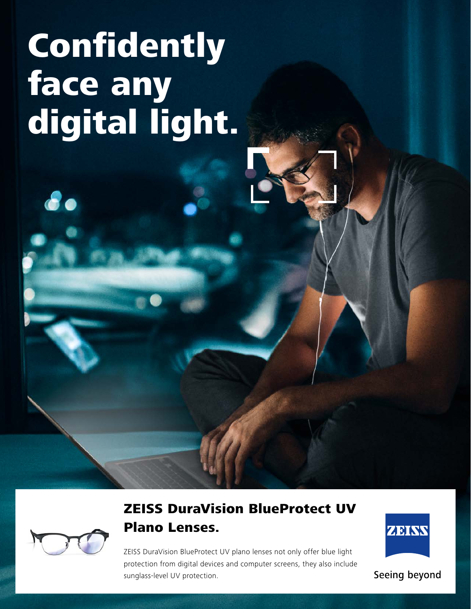# Confidently face any digital light.



80

# ZEISS DuraVision BlueProtect UV Plano Lenses.

ZEISS DuraVision BlueProtect UV plano lenses not only offer blue light protection from digital devices and computer screens, they also include sunglass-level UV protection.



Seeing beyond